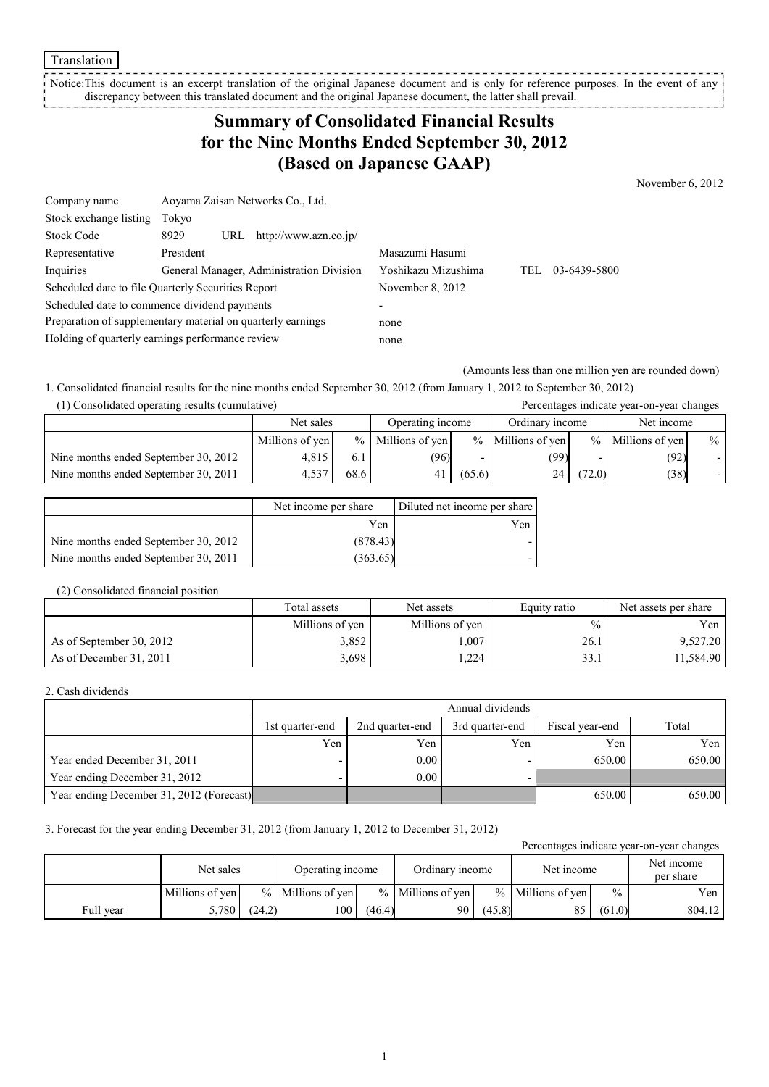Notice:This document is an excerpt translation of the original Japanese document and is only for reference purposes. In the event of any discrepancy between this translated document and the original Japanese document, the latter shall prevail. --------------

## **Summary of Consolidated Financial Results for the Nine Months Ended September 30, 2012 (Based on Japanese GAAP)**

November 6, 2012

| Company name                                                | Aoyama Zaisan Networks Co., Ltd.                   |                             |              |
|-------------------------------------------------------------|----------------------------------------------------|-----------------------------|--------------|
| Stock exchange listing                                      | Tokyo                                              |                             |              |
| <b>Stock Code</b>                                           | 8929<br>URL $http://www.azn.co.jp/$                |                             |              |
| Representative                                              | President                                          | Masazumi Hasumi             |              |
| Inquiries                                                   | General Manager, Administration Division           | Yoshikazu Mizushima<br>TEL. | 03-6439-5800 |
|                                                             | Scheduled date to file Quarterly Securities Report | November 8, 2012            |              |
|                                                             | Scheduled date to commence dividend payments       | $\overline{a}$              |              |
| Preparation of supplementary material on quarterly earnings |                                                    | none                        |              |
| Holding of quarterly earnings performance review            |                                                    | none                        |              |

(Amounts less than one million yen are rounded down)

1. Consolidated financial results for the nine months ended September 30, 2012 (from January 1, 2012 to September 30, 2012) (1) Consolidated operating results (cumulative) Percentages indicate year-on-year changes

|                                      | Net sales       |      | Operating income    |        | Ordinary income     |               | Net income      |               |
|--------------------------------------|-----------------|------|---------------------|--------|---------------------|---------------|-----------------|---------------|
|                                      | Millions of yen |      | $%$ Millions of yen |        | $%$ Millions of yen | $\frac{9}{6}$ | Millions of yen | $\frac{0}{0}$ |
| Nine months ended September 30, 2012 | 4.815           |      | (96)                |        | (99)                |               | (92)            |               |
| Nine months ended September 30, 2011 | 4.537           | 68.6 |                     | (65.6) | 24                  | (72.0)        | (38)            |               |

|                                      | Net income per share | Diluted net income per share |
|--------------------------------------|----------------------|------------------------------|
|                                      | Yen                  | Yen                          |
| Nine months ended September 30, 2012 | (878.43)             |                              |
| Nine months ended September 30, 2011 | (363.65)             |                              |

## (2) Consolidated financial position

|                          | Total assets    | Net assets      | Equity ratio  | Net assets per share |
|--------------------------|-----------------|-----------------|---------------|----------------------|
|                          | Millions of yen | Millions of yen | $\frac{0}{0}$ | Yen 1                |
| As of September 30, 2012 | 3,852           | .007            | 26.1          | 9,527.20             |
| As of December 31, 2011  | 3,698           | .224            | 33.1          | 11,584.90            |

#### 2. Cash dividends

|                                          | Annual dividends |                 |                 |                 |        |  |  |
|------------------------------------------|------------------|-----------------|-----------------|-----------------|--------|--|--|
|                                          | 1st quarter-end  | 2nd quarter-end | 3rd quarter-end | Fiscal year-end | Total  |  |  |
|                                          | Yen              | Yen             | Yen             | Yen             | Yen    |  |  |
| Year ended December 31, 2011             |                  | 0.00            |                 | 650.00          | 650.00 |  |  |
| Year ending December 31, 2012            |                  | 0.00            |                 |                 |        |  |  |
| Year ending December 31, 2012 (Forecast) |                  |                 |                 | 650.00          | 650.00 |  |  |

### 3. Forecast for the year ending December 31, 2012 (from January 1, 2012 to December 31, 2012)

Percentages indicate year-on-year changes

|           | Net sales       |        | Operating income    |        | Ordinary income     |        | Net income          |               | Net income<br>per share |
|-----------|-----------------|--------|---------------------|--------|---------------------|--------|---------------------|---------------|-------------------------|
|           | Millions of yen |        | $%$ Millions of ven |        | $%$ Millions of yen |        | $%$ Millions of yen | $\frac{0}{0}$ | Yen                     |
| Full year | 5,780           | (24.2) | 100                 | (46.4) | 90                  | (45.8) |                     | (61.0)        | 804.12                  |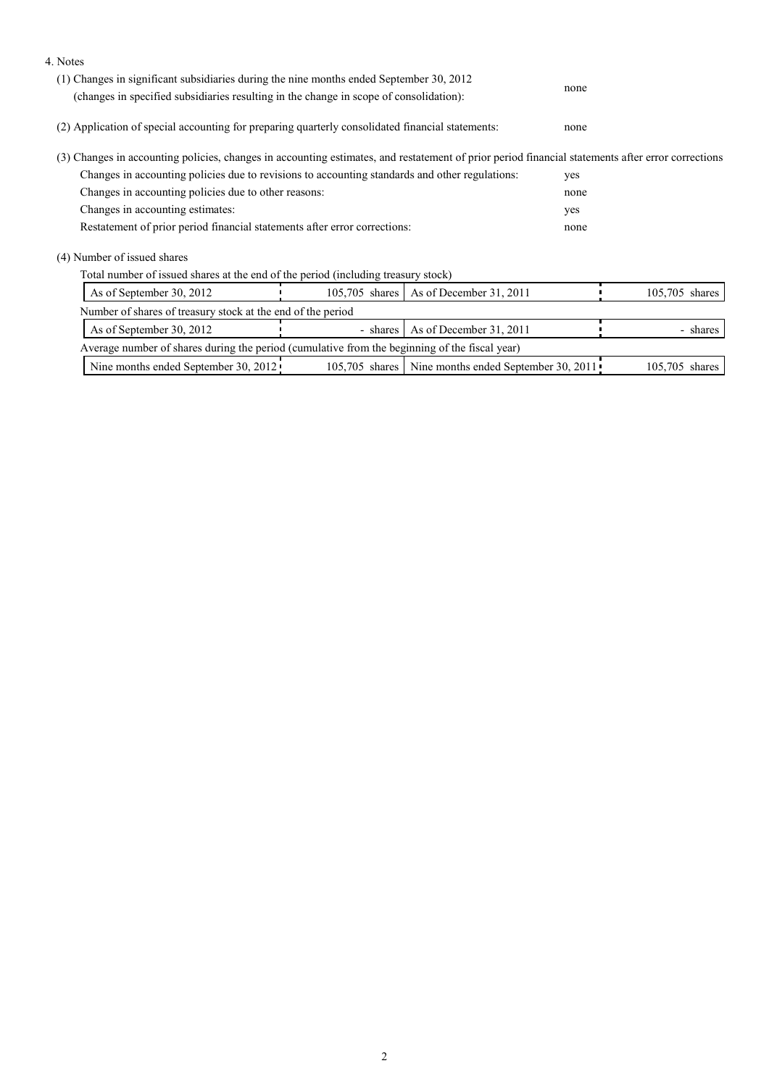| 4. Notes                                                                                                                                                                          |                |                                                     |                |  |  |
|-----------------------------------------------------------------------------------------------------------------------------------------------------------------------------------|----------------|-----------------------------------------------------|----------------|--|--|
| (1) Changes in significant subsidiaries during the nine months ended September 30, 2012<br>(changes in specified subsidiaries resulting in the change in scope of consolidation): | none           |                                                     |                |  |  |
| (2) Application of special accounting for preparing quarterly consolidated financial statements:                                                                                  | none           |                                                     |                |  |  |
| (3) Changes in accounting policies, changes in accounting estimates, and restatement of prior period financial statements after error corrections                                 |                |                                                     |                |  |  |
| Changes in accounting policies due to revisions to accounting standards and other regulations:                                                                                    |                | yes                                                 |                |  |  |
| Changes in accounting policies due to other reasons:                                                                                                                              |                | none                                                |                |  |  |
| Changes in accounting estimates:                                                                                                                                                  |                | yes                                                 |                |  |  |
| Restatement of prior period financial statements after error corrections:                                                                                                         |                | none                                                |                |  |  |
| (4) Number of issued shares                                                                                                                                                       |                |                                                     |                |  |  |
| Total number of issued shares at the end of the period (including treasury stock)                                                                                                 |                |                                                     |                |  |  |
| As of September 30, 2012                                                                                                                                                          | 105,705 shares | As of December 31, 2011                             | 105,705 shares |  |  |
| Number of shares of treasury stock at the end of the period                                                                                                                       |                |                                                     |                |  |  |
| As of December 31, 2011<br>As of September 30, 2012<br>- shares                                                                                                                   |                |                                                     | - shares       |  |  |
| Average number of shares during the period (cumulative from the beginning of the fiscal year)                                                                                     |                |                                                     |                |  |  |
| Nine months ended September 30, 2012                                                                                                                                              |                | 105,705 shares Nine months ended September 30, 2011 | 105,705 shares |  |  |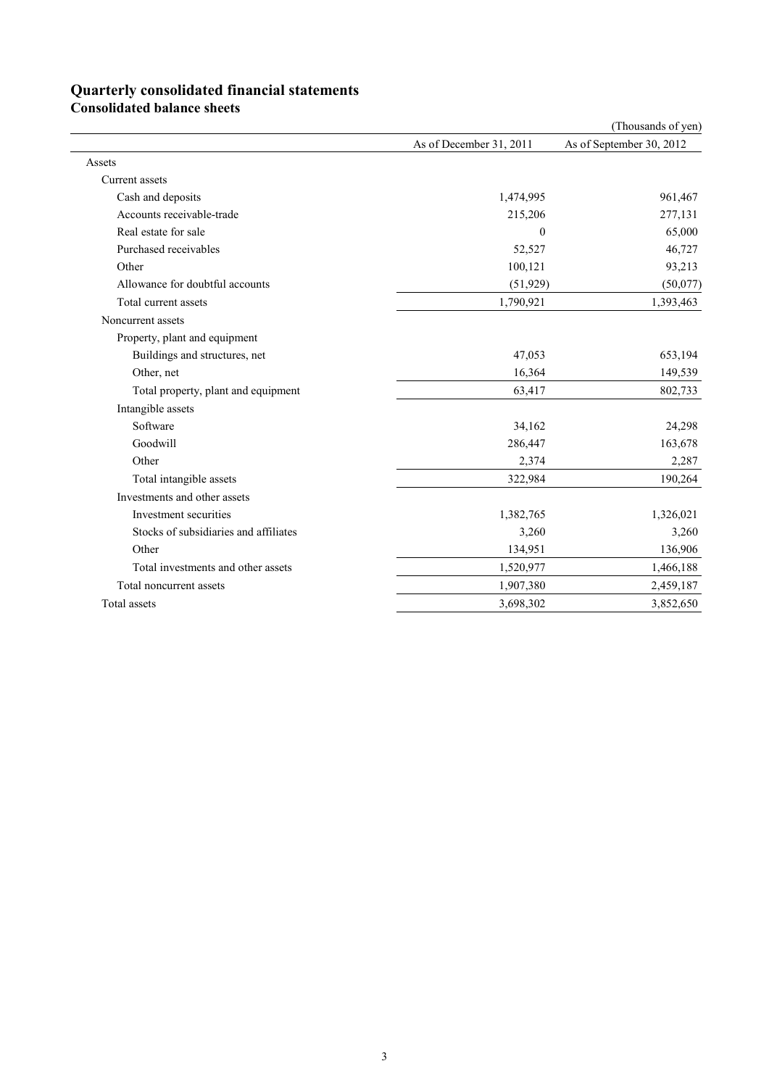# **Quarterly consolidated financial statements**

**Consolidated balance sheets**

|                                       |                         | (Thousands of yen)       |
|---------------------------------------|-------------------------|--------------------------|
|                                       | As of December 31, 2011 | As of September 30, 2012 |
| Assets                                |                         |                          |
| Current assets                        |                         |                          |
| Cash and deposits                     | 1,474,995               | 961,467                  |
| Accounts receivable-trade             | 215,206                 | 277,131                  |
| Real estate for sale                  | $\boldsymbol{0}$        | 65,000                   |
| Purchased receivables                 | 52,527                  | 46,727                   |
| Other                                 | 100,121                 | 93,213                   |
| Allowance for doubtful accounts       | (51, 929)               | (50,077)                 |
| Total current assets                  | 1,790,921               | 1,393,463                |
| Noncurrent assets                     |                         |                          |
| Property, plant and equipment         |                         |                          |
| Buildings and structures, net         | 47,053                  | 653,194                  |
| Other, net                            | 16,364                  | 149,539                  |
| Total property, plant and equipment   | 63,417                  | 802,733                  |
| Intangible assets                     |                         |                          |
| Software                              | 34,162                  | 24,298                   |
| Goodwill                              | 286,447                 | 163,678                  |
| Other                                 | 2,374                   | 2,287                    |
| Total intangible assets               | 322,984                 | 190,264                  |
| Investments and other assets          |                         |                          |
| Investment securities                 | 1,382,765               | 1,326,021                |
| Stocks of subsidiaries and affiliates | 3,260                   | 3,260                    |
| Other                                 | 134,951                 | 136,906                  |
| Total investments and other assets    | 1,520,977               | 1,466,188                |
| Total noncurrent assets               | 1,907,380               | 2,459,187                |
| Total assets                          | 3,698,302               | 3,852,650                |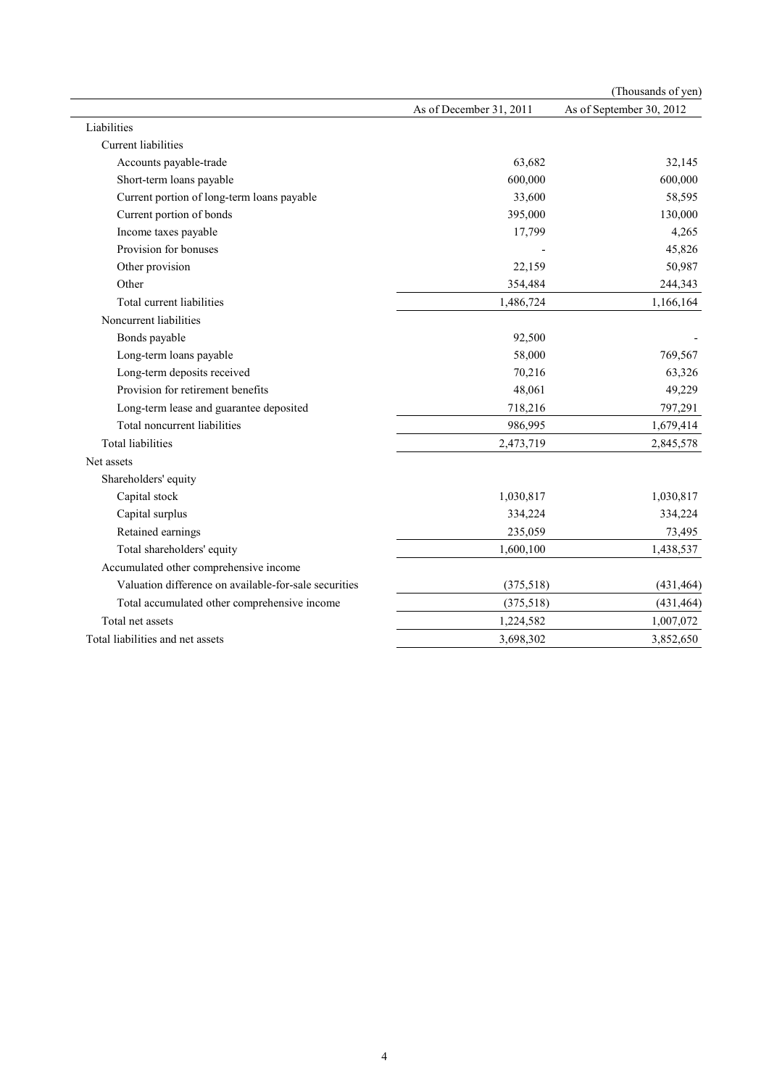|                                                       |                         | (Thousands of yen)       |
|-------------------------------------------------------|-------------------------|--------------------------|
|                                                       | As of December 31, 2011 | As of September 30, 2012 |
| Liabilities                                           |                         |                          |
| <b>Current liabilities</b>                            |                         |                          |
| Accounts payable-trade                                | 63,682                  | 32,145                   |
| Short-term loans payable                              | 600,000                 | 600,000                  |
| Current portion of long-term loans payable            | 33,600                  | 58,595                   |
| Current portion of bonds                              | 395,000                 | 130,000                  |
| Income taxes payable                                  | 17,799                  | 4,265                    |
| Provision for bonuses                                 |                         | 45,826                   |
| Other provision                                       | 22,159                  | 50,987                   |
| Other                                                 | 354,484                 | 244,343                  |
| Total current liabilities                             | 1,486,724               | 1,166,164                |
| Noncurrent liabilities                                |                         |                          |
| Bonds payable                                         | 92,500                  |                          |
| Long-term loans payable                               | 58,000                  | 769,567                  |
| Long-term deposits received                           | 70,216                  | 63,326                   |
| Provision for retirement benefits                     | 48,061                  | 49,229                   |
| Long-term lease and guarantee deposited               | 718,216                 | 797,291                  |
| Total noncurrent liabilities                          | 986,995                 | 1,679,414                |
| <b>Total liabilities</b>                              | 2,473,719               | 2,845,578                |
| Net assets                                            |                         |                          |
| Shareholders' equity                                  |                         |                          |
| Capital stock                                         | 1,030,817               | 1,030,817                |
| Capital surplus                                       | 334,224                 | 334,224                  |
| Retained earnings                                     | 235,059                 | 73,495                   |
| Total shareholders' equity                            | 1,600,100               | 1,438,537                |
| Accumulated other comprehensive income                |                         |                          |
| Valuation difference on available-for-sale securities | (375,518)               | (431, 464)               |
| Total accumulated other comprehensive income          | (375,518)               | (431, 464)               |
| Total net assets                                      | 1,224,582               | 1,007,072                |
| Total liabilities and net assets                      | 3,698,302               | 3,852,650                |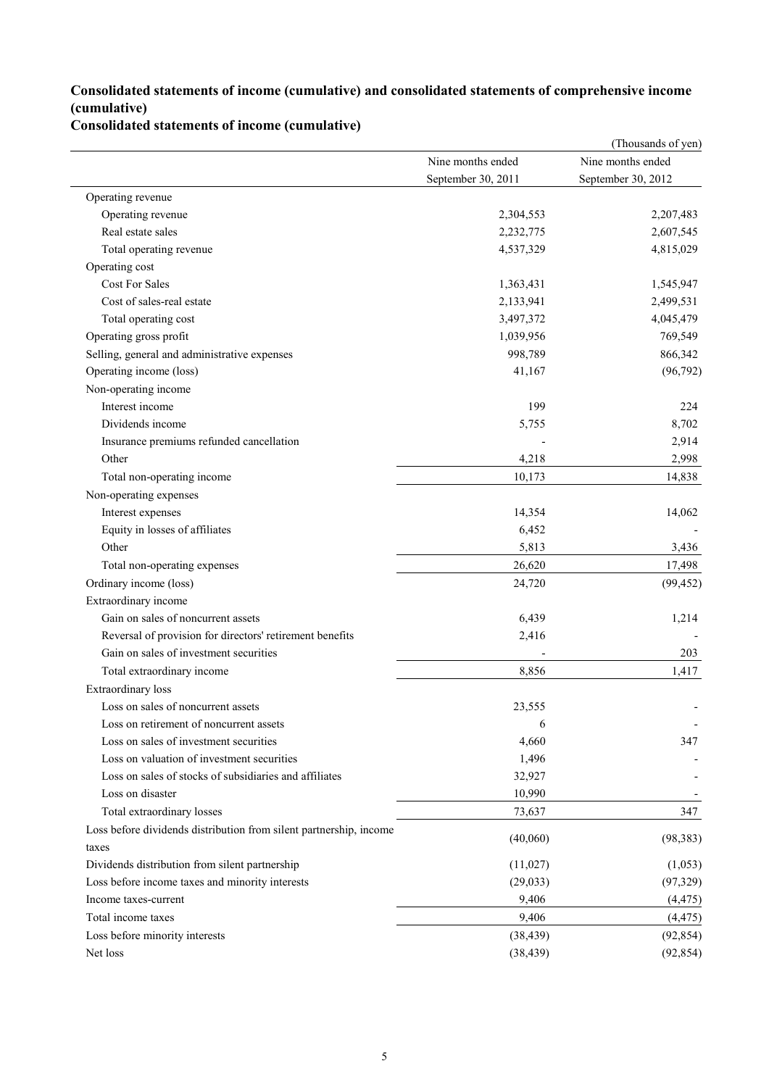## **Consolidated statements of income (cumulative) and consolidated statements of comprehensive income (cumulative)**

### **Consolidated statements of income (cumulative)**

|                                                                    |                    | (Thousands of yen) |
|--------------------------------------------------------------------|--------------------|--------------------|
|                                                                    | Nine months ended  | Nine months ended  |
|                                                                    | September 30, 2011 | September 30, 2012 |
| Operating revenue                                                  |                    |                    |
| Operating revenue                                                  | 2,304,553          | 2,207,483          |
| Real estate sales                                                  | 2,232,775          | 2,607,545          |
| Total operating revenue                                            | 4,537,329          | 4,815,029          |
| Operating cost                                                     |                    |                    |
| <b>Cost For Sales</b>                                              | 1,363,431          | 1,545,947          |
| Cost of sales-real estate                                          | 2,133,941          | 2,499,531          |
| Total operating cost                                               | 3,497,372          | 4,045,479          |
| Operating gross profit                                             | 1,039,956          | 769,549            |
| Selling, general and administrative expenses                       | 998,789            | 866,342            |
| Operating income (loss)                                            | 41,167             | (96, 792)          |
| Non-operating income                                               |                    |                    |
| Interest income                                                    | 199                | 224                |
| Dividends income                                                   | 5,755              | 8,702              |
| Insurance premiums refunded cancellation                           |                    | 2,914              |
| Other                                                              | 4,218              | 2,998              |
| Total non-operating income                                         | 10,173             | 14,838             |
| Non-operating expenses                                             |                    |                    |
| Interest expenses                                                  | 14,354             | 14,062             |
| Equity in losses of affiliates                                     | 6,452              |                    |
| Other                                                              | 5,813              | 3,436              |
| Total non-operating expenses                                       | 26,620             | 17,498             |
| Ordinary income (loss)                                             | 24,720             | (99, 452)          |
| Extraordinary income                                               |                    |                    |
| Gain on sales of noncurrent assets                                 | 6,439              | 1,214              |
| Reversal of provision for directors' retirement benefits           | 2,416              |                    |
| Gain on sales of investment securities                             |                    | 203                |
| Total extraordinary income                                         | 8,856              | 1,417              |
| Extraordinary loss                                                 |                    |                    |
| Loss on sales of noncurrent assets                                 | 23,555             |                    |
| Loss on retirement of noncurrent assets                            | 6                  |                    |
| Loss on sales of investment securities                             | 4,660              | 347                |
| Loss on valuation of investment securities                         | 1,496              |                    |
| Loss on sales of stocks of subsidiaries and affiliates             | 32,927             |                    |
| Loss on disaster                                                   | 10,990             |                    |
| Total extraordinary losses                                         | 73,637             | 347                |
| Loss before dividends distribution from silent partnership, income |                    |                    |
| taxes                                                              | (40,060)           | (98, 383)          |
| Dividends distribution from silent partnership                     | (11,027)           | (1,053)            |
| Loss before income taxes and minority interests                    | (29, 033)          | (97, 329)          |
| Income taxes-current                                               | 9,406              | (4, 475)           |
| Total income taxes                                                 | 9,406              | (4, 475)           |
| Loss before minority interests                                     | (38, 439)          | (92, 854)          |
| Net loss                                                           | (38, 439)          | (92, 854)          |
|                                                                    |                    |                    |